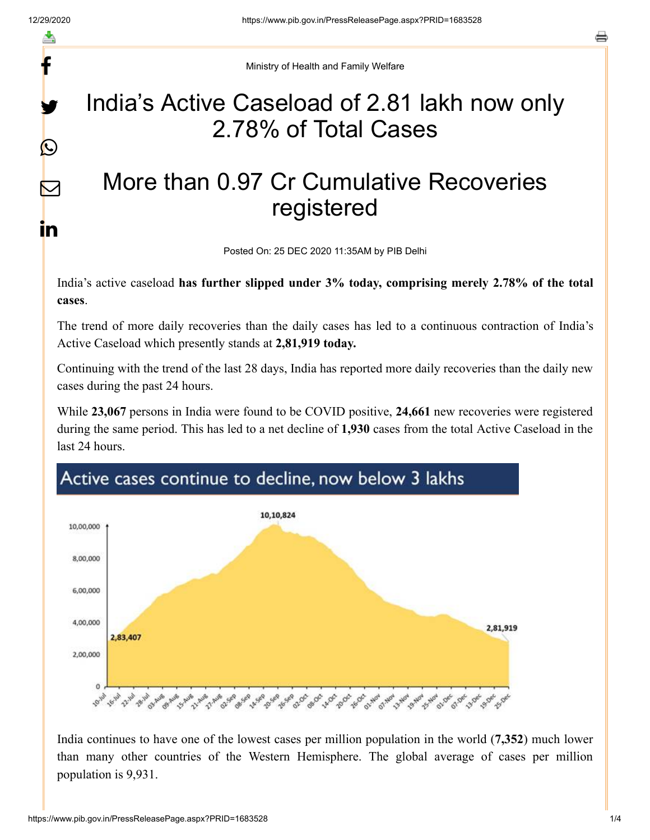f

y.

 $\bigcirc$ 

 $\color{red}\nabla$ 

in

Ministry of Health and Family Welfare

## India's Active Caseload of 2.81 lakh now only 2.78% of Total Cases

## More than 0.97 Cr Cumulative Recoveries registered

Posted On: 25 DEC 2020 11:35AM by PIB Delhi

India's active caseload **has further slipped under 3% today, comprising merely 2.78% of the total cases**.

The trend of more daily recoveries than the daily cases has led to a continuous contraction of India's Active Caseload which presently stands at **2,81,919 today.**

Continuing with the trend of the last 28 days, India has reported more daily recoveries than the daily new cases during the past 24 hours.

While **23,067** persons in India were found to be COVID positive, **24,661** new recoveries were registered during the same period. This has led to a net decline of **1,930** cases from the total Active Caseload in the last 24 hours.



India continues to have one of the lowest cases per million population in the world (**7,352**) much lower than many other countries of the Western Hemisphere. The global average of cases per million population is 9,931.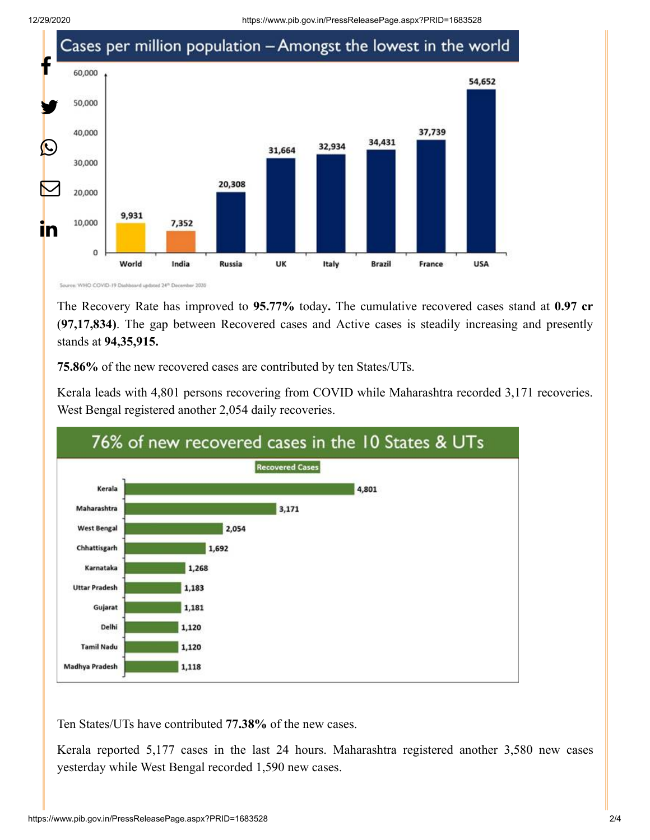12/29/2020 https://www.pib.gov.in/PressReleasePage.aspx?PRID=1683528



The Recovery Rate has improved to **95.77%** today**.** The cumulative recovered cases stand at **0.97 cr** (**97,17,834)**. The gap between Recovered cases and Active cases is steadily increasing and presently stands at **94,35,915.**

**75.86%** of the new recovered cases are contributed by ten States/UTs.

Kerala leads with 4,801 persons recovering from COVID while Maharashtra recorded 3,171 recoveries. West Bengal registered another 2,054 daily recoveries.



Ten States/UTs have contributed **77.38%** of the new cases.

Kerala reported 5,177 cases in the last 24 hours. Maharashtra registered another 3,580 new cases yesterday while West Bengal recorded 1,590 new cases.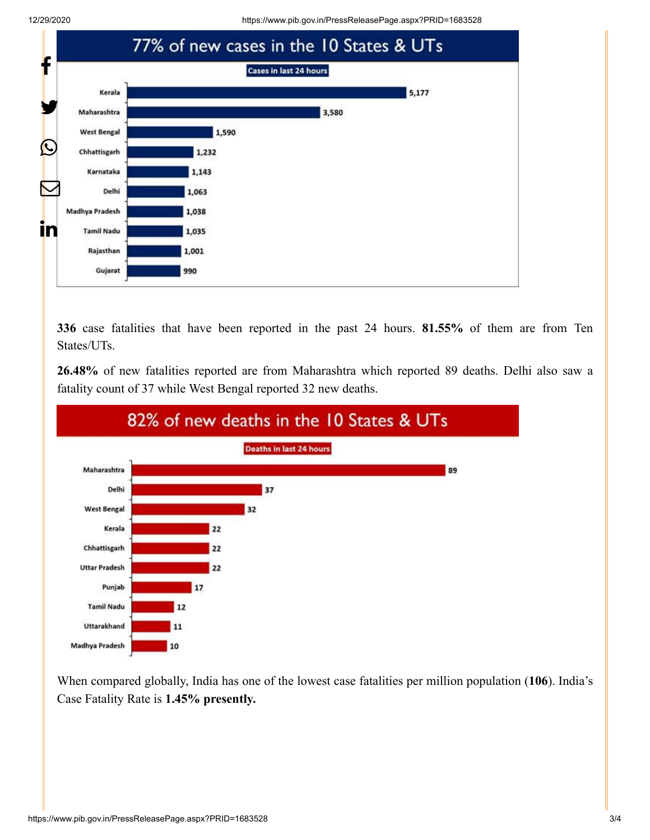12/29/2020 https://www.pib.gov.in/PressReleasePage.aspx?PRID=1683528



**336** case fatalities that have been reported in the past 24 hours. **81.55%** of them are from Ten States/UTs.

**26.48%** of new fatalities reported are from Maharashtra which reported 89 deaths. Delhi also saw a fatality count of 37 while West Bengal reported 32 new deaths.



When compared globally, India has one of the lowest case fatalities per million population (**106**). India's Case Fatality Rate is **1.45% presently.**